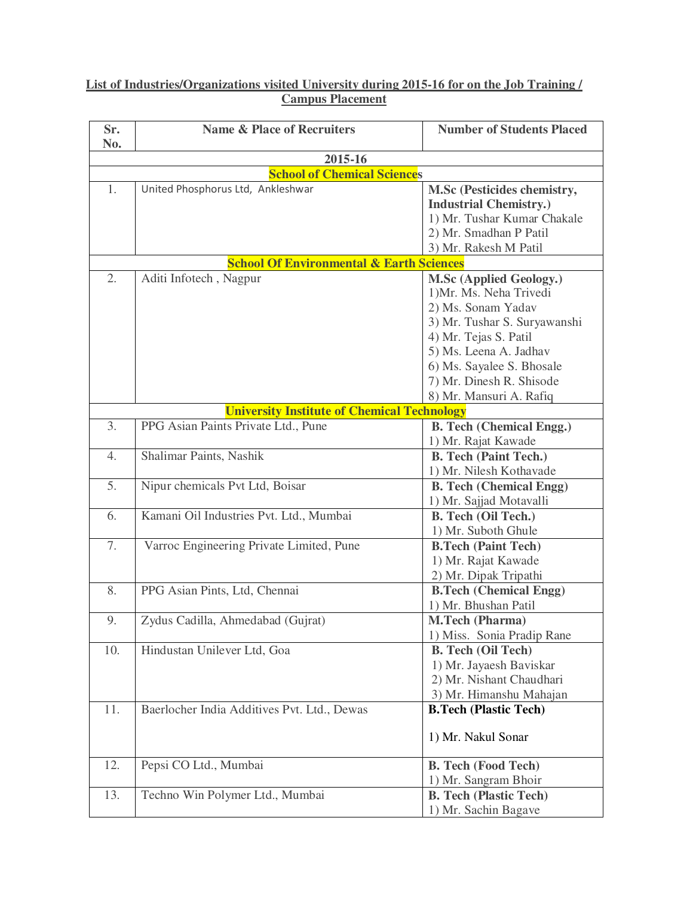## **List of Industries/Organizations visited University during 2015-16 for on the Job Training / Campus Placement**

| Sr.                                           | <b>Name &amp; Place of Recruiters</b>               | <b>Number of Students Placed</b>                      |  |  |  |  |
|-----------------------------------------------|-----------------------------------------------------|-------------------------------------------------------|--|--|--|--|
| No.                                           |                                                     |                                                       |  |  |  |  |
| 2015-16<br><b>School of Chemical Sciences</b> |                                                     |                                                       |  |  |  |  |
| 1.                                            | United Phosphorus Ltd, Ankleshwar                   | M.Sc (Pesticides chemistry,                           |  |  |  |  |
|                                               |                                                     | <b>Industrial Chemistry.)</b>                         |  |  |  |  |
|                                               |                                                     | 1) Mr. Tushar Kumar Chakale                           |  |  |  |  |
|                                               |                                                     | 2) Mr. Smadhan P Patil                                |  |  |  |  |
|                                               |                                                     | 3) Mr. Rakesh M Patil                                 |  |  |  |  |
|                                               | <b>School Of Environmental &amp; Earth Sciences</b> |                                                       |  |  |  |  |
| 2.                                            | Aditi Infotech, Nagpur                              | M.Sc (Applied Geology.)                               |  |  |  |  |
|                                               |                                                     | 1) Mr. Ms. Neha Trivedi                               |  |  |  |  |
|                                               |                                                     | 2) Ms. Sonam Yadav                                    |  |  |  |  |
|                                               |                                                     | 3) Mr. Tushar S. Suryawanshi                          |  |  |  |  |
|                                               |                                                     | 4) Mr. Tejas S. Patil                                 |  |  |  |  |
|                                               |                                                     | 5) Ms. Leena A. Jadhav                                |  |  |  |  |
|                                               |                                                     | 6) Ms. Sayalee S. Bhosale                             |  |  |  |  |
|                                               |                                                     | 7) Mr. Dinesh R. Shisode                              |  |  |  |  |
|                                               |                                                     | 8) Mr. Mansuri A. Rafiq                               |  |  |  |  |
|                                               | <b>University Institute of Chemical Technology</b>  |                                                       |  |  |  |  |
| 3.                                            | PPG Asian Paints Private Ltd., Pune                 | <b>B.</b> Tech (Chemical Engg.)                       |  |  |  |  |
|                                               |                                                     | 1) Mr. Rajat Kawade                                   |  |  |  |  |
| 4.                                            | Shalimar Paints, Nashik                             | <b>B. Tech (Paint Tech.)</b>                          |  |  |  |  |
|                                               |                                                     | 1) Mr. Nilesh Kothavade                               |  |  |  |  |
| 5.                                            | Nipur chemicals Pvt Ltd, Boisar                     | <b>B. Tech (Chemical Engg)</b>                        |  |  |  |  |
|                                               |                                                     | 1) Mr. Sajjad Motavalli                               |  |  |  |  |
| 6.                                            | Kamani Oil Industries Pvt. Ltd., Mumbai             | <b>B.</b> Tech (Oil Tech.)                            |  |  |  |  |
|                                               |                                                     | 1) Mr. Suboth Ghule                                   |  |  |  |  |
| 7.                                            | Varroc Engineering Private Limited, Pune            | <b>B.Tech (Paint Tech)</b>                            |  |  |  |  |
|                                               |                                                     | 1) Mr. Rajat Kawade                                   |  |  |  |  |
| 8.                                            | PPG Asian Pints, Ltd, Chennai                       | 2) Mr. Dipak Tripathi                                 |  |  |  |  |
|                                               |                                                     | <b>B.Tech (Chemical Engg)</b><br>1) Mr. Bhushan Patil |  |  |  |  |
| 9.                                            | Zydus Cadilla, Ahmedabad (Gujrat)                   | M.Tech (Pharma)                                       |  |  |  |  |
|                                               |                                                     | 1) Miss. Sonia Pradip Rane                            |  |  |  |  |
| 10.                                           | Hindustan Unilever Ltd, Goa                         | <b>B.</b> Tech (Oil Tech)                             |  |  |  |  |
|                                               |                                                     | 1) Mr. Jayaesh Baviskar                               |  |  |  |  |
|                                               |                                                     | 2) Mr. Nishant Chaudhari                              |  |  |  |  |
|                                               |                                                     | 3) Mr. Himanshu Mahajan                               |  |  |  |  |
| 11.                                           | Baerlocher India Additives Pvt. Ltd., Dewas         | <b>B.Tech (Plastic Tech)</b>                          |  |  |  |  |
|                                               |                                                     |                                                       |  |  |  |  |
|                                               |                                                     | 1) Mr. Nakul Sonar                                    |  |  |  |  |
|                                               |                                                     |                                                       |  |  |  |  |
| 12.                                           | Pepsi CO Ltd., Mumbai                               | <b>B. Tech (Food Tech)</b>                            |  |  |  |  |
|                                               |                                                     | 1) Mr. Sangram Bhoir                                  |  |  |  |  |
| 13.                                           | Techno Win Polymer Ltd., Mumbai                     | <b>B. Tech (Plastic Tech)</b>                         |  |  |  |  |
|                                               |                                                     | 1) Mr. Sachin Bagave                                  |  |  |  |  |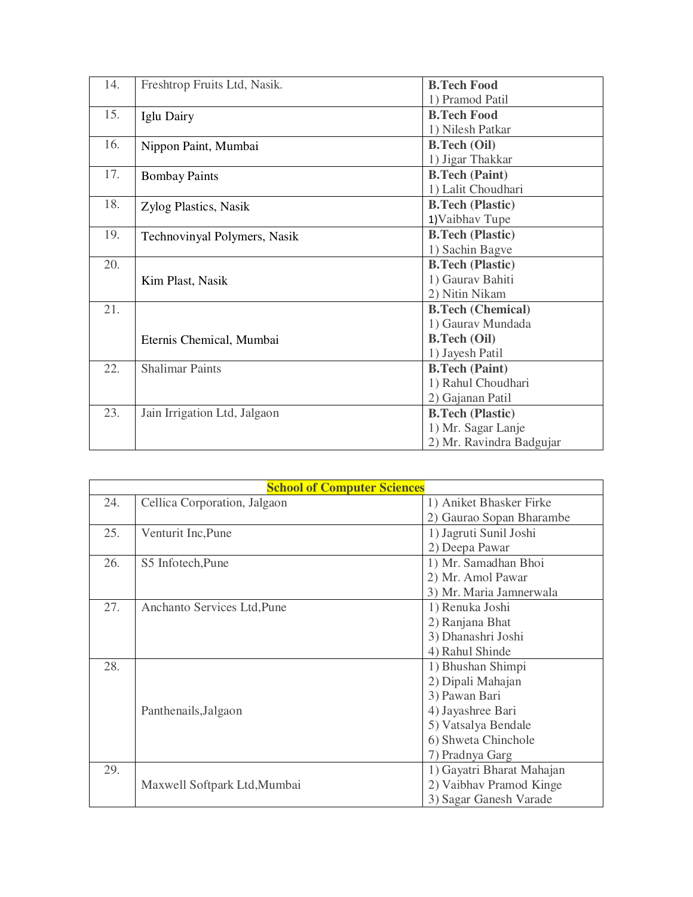| 14. | Freshtrop Fruits Ltd, Nasik. | <b>B.Tech Food</b>       |
|-----|------------------------------|--------------------------|
|     |                              | 1) Pramod Patil          |
| 15. | Iglu Dairy                   | <b>B.Tech Food</b>       |
|     |                              | 1) Nilesh Patkar         |
| 16. | Nippon Paint, Mumbai         | <b>B.Tech (Oil)</b>      |
|     |                              | 1) Jigar Thakkar         |
| 17. | <b>Bombay Paints</b>         | <b>B.Tech (Paint)</b>    |
|     |                              | 1) Lalit Choudhari       |
| 18. | Zylog Plastics, Nasik        | <b>B.Tech (Plastic)</b>  |
|     |                              | 1) Vaibhav Tupe          |
| 19. | Technovinyal Polymers, Nasik | <b>B.Tech (Plastic)</b>  |
|     |                              | 1) Sachin Bagve          |
| 20. |                              | <b>B.Tech (Plastic)</b>  |
|     | Kim Plast, Nasik             | 1) Gaurav Bahiti         |
|     |                              | 2) Nitin Nikam           |
| 21. |                              | <b>B.Tech (Chemical)</b> |
|     |                              | 1) Gaurav Mundada        |
|     | Eternis Chemical, Mumbai     | <b>B.Tech (Oil)</b>      |
|     |                              | 1) Jayesh Patil          |
| 22. | <b>Shalimar Paints</b>       | <b>B.Tech (Paint)</b>    |
|     |                              | 1) Rahul Choudhari       |
|     |                              | 2) Gajanan Patil         |
| 23. | Jain Irrigation Ltd, Jalgaon | <b>B.Tech (Plastic)</b>  |
|     |                              | 1) Mr. Sagar Lanje       |
|     |                              | 2) Mr. Ravindra Badgujar |

| <b>School of Computer Sciences</b> |                              |                           |  |  |
|------------------------------------|------------------------------|---------------------------|--|--|
| 24.                                | Cellica Corporation, Jalgaon | 1) Aniket Bhasker Firke   |  |  |
|                                    |                              | 2) Gaurao Sopan Bharambe  |  |  |
| 25.                                | Venturit Inc, Pune           | 1) Jagruti Sunil Joshi    |  |  |
|                                    |                              | 2) Deepa Pawar            |  |  |
| 26.                                | S5 Infotech, Pune            | 1) Mr. Samadhan Bhoi      |  |  |
|                                    |                              | 2) Mr. Amol Pawar         |  |  |
|                                    |                              | 3) Mr. Maria Jamnerwala   |  |  |
| 27.                                | Anchanto Services Ltd, Pune  | 1) Renuka Joshi           |  |  |
|                                    |                              | 2) Ranjana Bhat           |  |  |
|                                    |                              | 3) Dhanashri Joshi        |  |  |
|                                    |                              | 4) Rahul Shinde           |  |  |
| 28.                                |                              | 1) Bhushan Shimpi         |  |  |
|                                    |                              | 2) Dipali Mahajan         |  |  |
|                                    |                              | 3) Pawan Bari             |  |  |
|                                    | Panthenails, Jalgaon         | 4) Jayashree Bari         |  |  |
|                                    |                              | 5) Vatsalya Bendale       |  |  |
|                                    |                              | 6) Shweta Chinchole       |  |  |
|                                    |                              | 7) Pradnya Garg           |  |  |
| 29.                                |                              | 1) Gayatri Bharat Mahajan |  |  |
|                                    | Maxwell Softpark Ltd, Mumbai | 2) Vaibhav Pramod Kinge   |  |  |
|                                    |                              | 3) Sagar Ganesh Varade    |  |  |